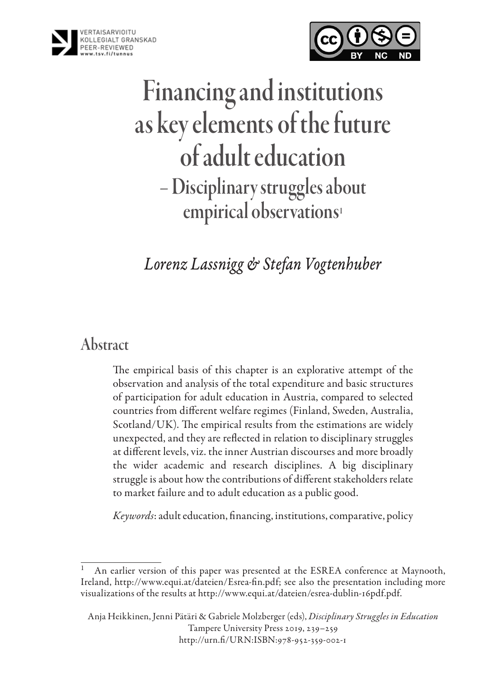



# Financing and institutions as key elements of the future of adult education – Disciplinary struggles about empirical observations<sup>1</sup>

*Lorenz Lassnigg & Stefan Vogtenhuber*

### Abstract

The empirical basis of this chapter is an explorative attempt of the observation and analysis of the total expenditure and basic structures of participation for adult education in Austria, compared to selected countries from different welfare regimes (Finland, Sweden, Australia, Scotland/UK). The empirical results from the estimations are widely unexpected, and they are reflected in relation to disciplinary struggles at different levels, viz. the inner Austrian discourses and more broadly the wider academic and research disciplines. A big disciplinary struggle is about how the contributions of different stakeholders relate to market failure and to adult education as a public good.

*Keywords*: adult education, financing, institutions, comparative, policy

An earlier version of this paper was presented at the ESREA conference at Maynooth, Ireland, [http://www.equi.at/dateien/Esrea-fin.pdf;](http://www.equi.at/dateien/Esrea-fin.pdf) see also the presentation including more visualizations of the results at <http://www.equi.at/dateien/esrea-dublin-16pdf.pdf>.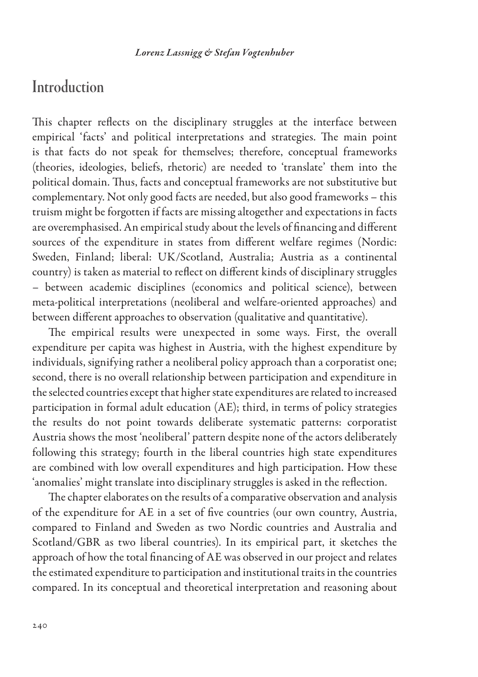### **Introduction**

This chapter reflects on the disciplinary struggles at the interface between empirical 'facts' and political interpretations and strategies. The main point is that facts do not speak for themselves; therefore, conceptual frameworks (theories, ideologies, beliefs, rhetoric) are needed to 'translate' them into the political domain. Thus, facts and conceptual frameworks are not substitutive but complementary. Not only good facts are needed, but also good frameworks – this truism might be forgotten if facts are missing altogether and expectations in facts are overemphasised. An empirical study about the levels of financing and different sources of the expenditure in states from different welfare regimes (Nordic: Sweden, Finland; liberal: UK/Scotland, Australia; Austria as a continental country) is taken as material to reflect on different kinds of disciplinary struggles – between academic disciplines (economics and political science), between meta-political interpretations (neoliberal and welfare-oriented approaches) and between different approaches to observation (qualitative and quantitative).

The empirical results were unexpected in some ways. First, the overall expenditure per capita was highest in Austria, with the highest expenditure by individuals, signifying rather a neoliberal policy approach than a corporatist one; second, there is no overall relationship between participation and expenditure in the selected countries except that higher state expenditures are related to increased participation in formal adult education (AE); third, in terms of policy strategies the results do not point towards deliberate systematic patterns: corporatist Austria shows the most 'neoliberal' pattern despite none of the actors deliberately following this strategy; fourth in the liberal countries high state expenditures are combined with low overall expenditures and high participation. How these 'anomalies' might translate into disciplinary struggles is asked in the reflection.

The chapter elaborates on the results of a comparative observation and analysis of the expenditure for AE in a set of five countries (our own country, Austria, compared to Finland and Sweden as two Nordic countries and Australia and Scotland/GBR as two liberal countries). In its empirical part, it sketches the approach of how the total financing of AE was observed in our project and relates the estimated expenditure to participation and institutional traits in the countries compared. In its conceptual and theoretical interpretation and reasoning about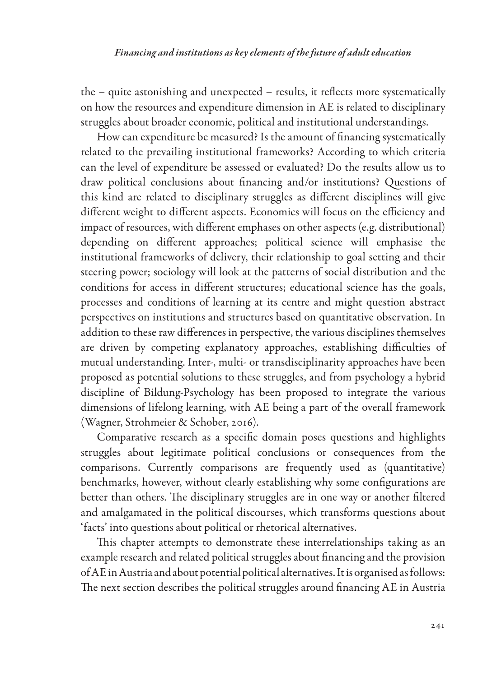the – quite astonishing and unexpected – results, it reflects more systematically on how the resources and expenditure dimension in AE is related to disciplinary struggles about broader economic, political and institutional understandings.

How can expenditure be measured? Is the amount of financing systematically related to the prevailing institutional frameworks? According to which criteria can the level of expenditure be assessed or evaluated? Do the results allow us to draw political conclusions about financing and/or institutions? Questions of this kind are related to disciplinary struggles as different disciplines will give different weight to different aspects. Economics will focus on the efficiency and impact of resources, with different emphases on other aspects (e.g. distributional) depending on different approaches; political science will emphasise the institutional frameworks of delivery, their relationship to goal setting and their steering power; sociology will look at the patterns of social distribution and the conditions for access in different structures; educational science has the goals, processes and conditions of learning at its centre and might question abstract perspectives on institutions and structures based on quantitative observation. In addition to these raw differences in perspective, the various disciplines themselves are driven by competing explanatory approaches, establishing difficulties of mutual understanding. Inter-, multi- or transdisciplinarity approaches have been proposed as potential solutions to these struggles, and from psychology a hybrid discipline of Bildung-Psychology has been proposed to integrate the various dimensions of lifelong learning, with AE being a part of the overall framework (Wagner, Strohmeier & Schober, 2016).

Comparative research as a specific domain poses questions and highlights struggles about legitimate political conclusions or consequences from the comparisons. Currently comparisons are frequently used as (quantitative) benchmarks, however, without clearly establishing why some configurations are better than others. The disciplinary struggles are in one way or another filtered and amalgamated in the political discourses, which transforms questions about 'facts' into questions about political or rhetorical alternatives.

This chapter attempts to demonstrate these interrelationships taking as an example research and related political struggles about financing and the provision of AE in Austria and about potential political alternatives. It is organised as follows: The next section describes the political struggles around financing AE in Austria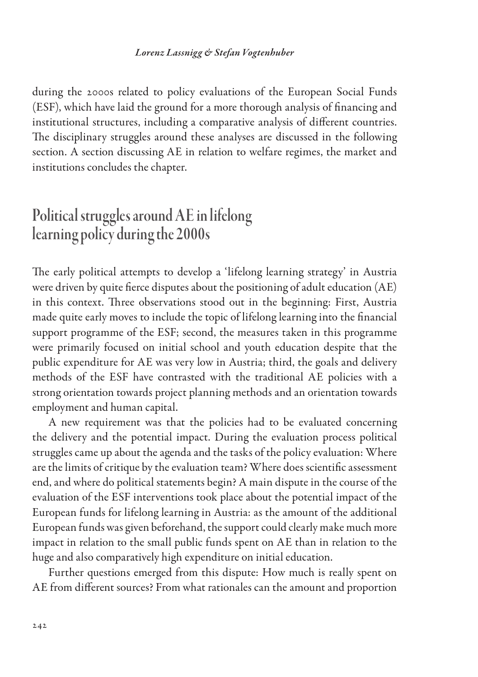during the 2000s related to policy evaluations of the European Social Funds (ESF), which have laid the ground for a more thorough analysis of financing and institutional structures, including a comparative analysis of different countries. The disciplinary struggles around these analyses are discussed in the following section. A section discussing AE in relation to welfare regimes, the market and institutions concludes the chapter.

# Political struggles around AE in lifelong learning policy during the 2000s

The early political attempts to develop a 'lifelong learning strategy' in Austria were driven by quite fierce disputes about the positioning of adult education (AE) in this context. Three observations stood out in the beginning: First, Austria made quite early moves to include the topic of lifelong learning into the financial support programme of the ESF; second, the measures taken in this programme were primarily focused on initial school and youth education despite that the public expenditure for AE was very low in Austria; third, the goals and delivery methods of the ESF have contrasted with the traditional AE policies with a strong orientation towards project planning methods and an orientation towards employment and human capital.

A new requirement was that the policies had to be evaluated concerning the delivery and the potential impact. During the evaluation process political struggles came up about the agenda and the tasks of the policy evaluation: Where are the limits of critique by the evaluation team? Where does scientific assessment end, and where do political statements begin? A main dispute in the course of the evaluation of the ESF interventions took place about the potential impact of the European funds for lifelong learning in Austria: as the amount of the additional European funds was given beforehand, the support could clearly make much more impact in relation to the small public funds spent on AE than in relation to the huge and also comparatively high expenditure on initial education.

Further questions emerged from this dispute: How much is really spent on AE from different sources? From what rationales can the amount and proportion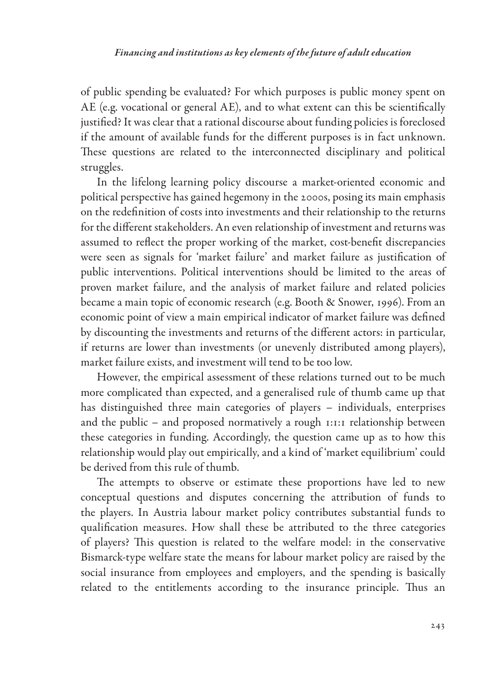of public spending be evaluated? For which purposes is public money spent on AE (e.g. vocational or general AE), and to what extent can this be scientifically justified? It was clear that a rational discourse about funding policies is foreclosed if the amount of available funds for the different purposes is in fact unknown. These questions are related to the interconnected disciplinary and political struggles.

In the lifelong learning policy discourse a market-oriented economic and political perspective has gained hegemony in the 2000s, posing its main emphasis on the redefinition of costs into investments and their relationship to the returns for the different stakeholders. An even relationship of investment and returns was assumed to reflect the proper working of the market, cost-benefit discrepancies were seen as signals for 'market failure' and market failure as justification of public interventions. Political interventions should be limited to the areas of proven market failure, and the analysis of market failure and related policies became a main topic of economic research (e.g. Booth & Snower, 1996). From an economic point of view a main empirical indicator of market failure was defined by discounting the investments and returns of the different actors: in particular, if returns are lower than investments (or unevenly distributed among players), market failure exists, and investment will tend to be too low.

However, the empirical assessment of these relations turned out to be much more complicated than expected, and a generalised rule of thumb came up that has distinguished three main categories of players – individuals, enterprises and the public – and proposed normatively a rough 1:1:1 relationship between these categories in funding. Accordingly, the question came up as to how this relationship would play out empirically, and a kind of 'market equilibrium' could be derived from this rule of thumb.

The attempts to observe or estimate these proportions have led to new conceptual questions and disputes concerning the attribution of funds to the players. In Austria labour market policy contributes substantial funds to qualification measures. How shall these be attributed to the three categories of players? This question is related to the welfare model: in the conservative Bismarck-type welfare state the means for labour market policy are raised by the social insurance from employees and employers, and the spending is basically related to the entitlements according to the insurance principle. Thus an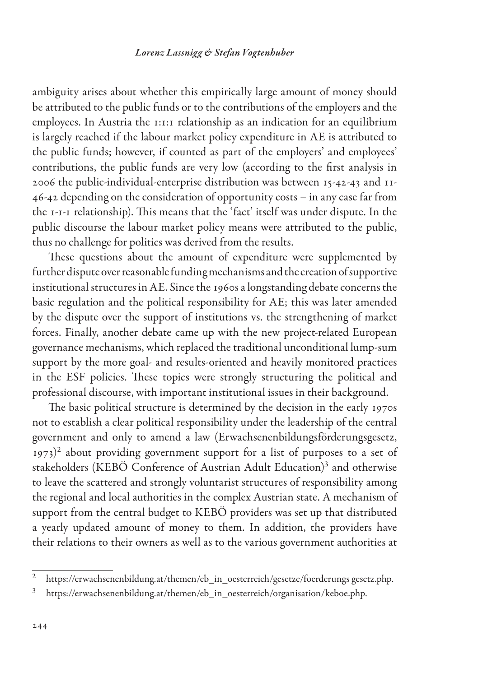ambiguity arises about whether this empirically large amount of money should be attributed to the public funds or to the contributions of the employers and the employees. In Austria the 1:1:1 relationship as an indication for an equilibrium is largely reached if the labour market policy expenditure in AE is attributed to the public funds; however, if counted as part of the employers' and employees' contributions, the public funds are very low (according to the first analysis in 2006 the public-individual-enterprise distribution was between 15-42-43 and 11- 46-42 depending on the consideration of opportunity costs – in any case far from the 1-1-1 relationship). This means that the 'fact' itself was under dispute. In the public discourse the labour market policy means were attributed to the public, thus no challenge for politics was derived from the results.

These questions about the amount of expenditure were supplemented by further dispute over reasonable funding mechanisms and the creation of supportive institutional structures in AE. Since the 1960s a longstanding debate concerns the basic regulation and the political responsibility for AE; this was later amended by the dispute over the support of institutions vs. the strengthening of market forces. Finally, another debate came up with the new project-related European governance mechanisms, which replaced the traditional unconditional lump-sum support by the more goal- and results-oriented and heavily monitored practices in the ESF policies. These topics were strongly structuring the political and professional discourse, with important institutional issues in their background.

The basic political structure is determined by the decision in the early 1970s not to establish a clear political responsibility under the leadership of the central government and only to amend a law (Erwachsenenbildungsförderungsgesetz,  $1973$ <sup>2</sup> about providing government support for a list of purposes to a set of stakeholders (KEBÖ Conference of Austrian Adult Education)<sup>3</sup> and otherwise to leave the scattered and strongly voluntarist structures of responsibility among the regional and local authorities in the complex Austrian state. A mechanism of support from the central budget to KEBÖ providers was set up that distributed a yearly updated amount of money to them. In addition, the providers have their relations to their owners as well as to the various government authorities at

<sup>&</sup>lt;sup>2</sup> https://erwachsenenbildung.at/themen/eb\_in\_oesterreich/gesetze/foerderungs gesetz.php.

<sup>&</sup>lt;sup>3</sup> https://erwachsenenbildung.at/themen/eb\_in\_oesterreich/organisation/keboe.php.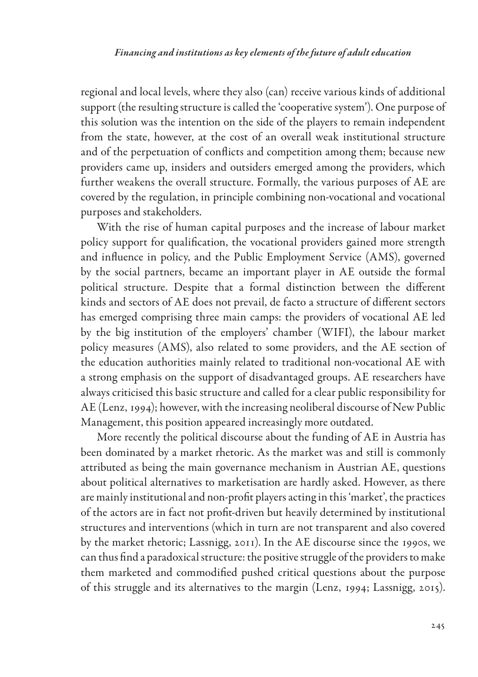regional and local levels, where they also (can) receive various kinds of additional support (the resulting structure is called the 'cooperative system'). One purpose of this solution was the intention on the side of the players to remain independent from the state, however, at the cost of an overall weak institutional structure and of the perpetuation of conflicts and competition among them; because new providers came up, insiders and outsiders emerged among the providers, which further weakens the overall structure. Formally, the various purposes of AE are covered by the regulation, in principle combining non-vocational and vocational purposes and stakeholders.

With the rise of human capital purposes and the increase of labour market policy support for qualification, the vocational providers gained more strength and influence in policy, and the Public Employment Service (AMS), governed by the social partners, became an important player in AE outside the formal political structure. Despite that a formal distinction between the different kinds and sectors of AE does not prevail, de facto a structure of different sectors has emerged comprising three main camps: the providers of vocational AE led by the big institution of the employers' chamber (WIFI), the labour market policy measures (AMS), also related to some providers, and the AE section of the education authorities mainly related to traditional non-vocational AE with a strong emphasis on the support of disadvantaged groups. AE researchers have always criticised this basic structure and called for a clear public responsibility for AE (Lenz, 1994); however, with the increasing neoliberal discourse of New Public Management, this position appeared increasingly more outdated.

More recently the political discourse about the funding of AE in Austria has been dominated by a market rhetoric. As the market was and still is commonly attributed as being the main governance mechanism in Austrian AE, questions about political alternatives to marketisation are hardly asked. However, as there are mainly institutional and non-profit players acting in this 'market', the practices of the actors are in fact not profit-driven but heavily determined by institutional structures and interventions (which in turn are not transparent and also covered by the market rhetoric; Lassnigg, 2011). In the AE discourse since the 1990s, we can thus find a paradoxical structure: the positive struggle of the providers to make them marketed and commodified pushed critical questions about the purpose of this struggle and its alternatives to the margin (Lenz, 1994; Lassnigg, 2015).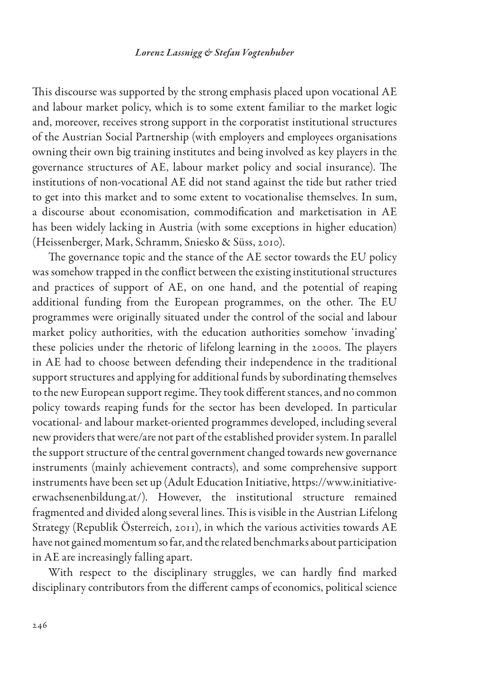This discourse was supported by the strong emphasis placed upon vocational AE and labour market policy, which is to some extent familiar to the market logic and, moreover, receives strong support in the corporatist institutional structures of the Austrian Social Partnership (with employers and employees organisations owning their own big training institutes and being involved as key players in the governance structures of AE, labour market policy and social insurance). The institutions of non-vocational AE did not stand against the tide but rather tried to get into this market and to some extent to vocationalise themselves. In sum, a discourse about economisation, commodification and marketisation in AE has been widely lacking in Austria (with some exceptions in higher education) (Heissenberger, Mark, Schramm, Sniesko & Süss, 2010).

The governance topic and the stance of the AE sector towards the EU policy was somehow trapped in the conflict between the existing institutional structures and practices of support of AE, on one hand, and the potential of reaping additional funding from the European programmes, on the other. The EU programmes were originally situated under the control of the social and labour market policy authorities, with the education authorities somehow 'invading' these policies under the rhetoric of lifelong learning in the 2000s. The players in AE had to choose between defending their independence in the traditional support structures and applying for additional funds by subordinating themselves to the new European support regime. They took different stances, and no common policy towards reaping funds for the sector has been developed. In particular vocational- and labour market-oriented programmes developed, including several new providers that were/are not part of the established provider system. In parallel the support structure of the central government changed towards new governance instruments (mainly achievement contracts), and some comprehensive support instruments have been set up (Adult Education Initiative, https://www.initiativeerwachsenenbildung.at/). However, the institutional structure remained fragmented and divided along several lines. This is visible in the Austrian Lifelong Strategy (Republik Österreich, 2011), in which the various activities towards AE have not gained momentum so far, and the related benchmarks about participation in AE are increasingly falling apart.

With respect to the disciplinary struggles, we can hardly find marked disciplinary contributors from the different camps of economics, political science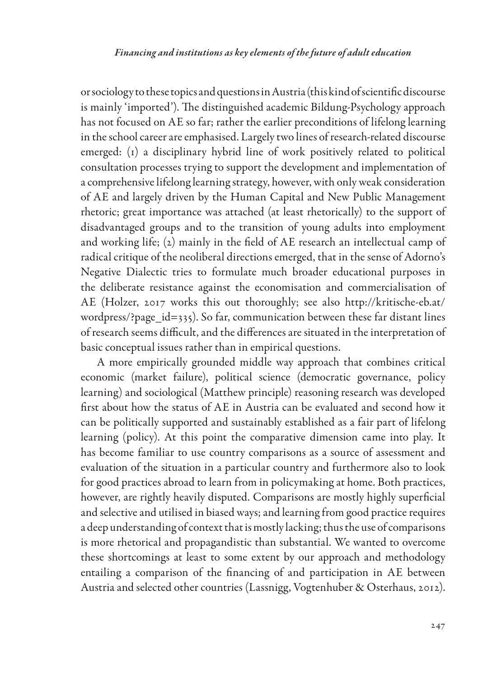or sociology to these topics and questions in Austria (this kind of scientific discourse is mainly 'imported'). The distinguished academic Bildung-Psychology approach has not focused on AE so far; rather the earlier preconditions of lifelong learning in the school career are emphasised. Largely two lines of research-related discourse emerged: (1) a disciplinary hybrid line of work positively related to political consultation processes trying to support the development and implementation of a comprehensive lifelong learning strategy, however, with only weak consideration of AE and largely driven by the Human Capital and New Public Management rhetoric; great importance was attached (at least rhetorically) to the support of disadvantaged groups and to the transition of young adults into employment and working life; (2) mainly in the field of AE research an intellectual camp of radical critique of the neoliberal directions emerged, that in the sense of Adorno's Negative Dialectic tries to formulate much broader educational purposes in the deliberate resistance against the economisation and commercialisation of AE (Holzer, 2017 works this out thoroughly; see also http://kritische-eb.at/ wordpress/?page\_id=335). So far, communication between these far distant lines of research seems difficult, and the differences are situated in the interpretation of basic conceptual issues rather than in empirical questions.

A more empirically grounded middle way approach that combines critical economic (market failure), political science (democratic governance, policy learning) and sociological (Matthew principle) reasoning research was developed first about how the status of AE in Austria can be evaluated and second how it can be politically supported and sustainably established as a fair part of lifelong learning (policy). At this point the comparative dimension came into play. It has become familiar to use country comparisons as a source of assessment and evaluation of the situation in a particular country and furthermore also to look for good practices abroad to learn from in policymaking at home. Both practices, however, are rightly heavily disputed. Comparisons are mostly highly superficial and selective and utilised in biased ways; and learning from good practice requires a deep understanding of context that is mostly lacking; thus the use of comparisons is more rhetorical and propagandistic than substantial. We wanted to overcome these shortcomings at least to some extent by our approach and methodology entailing a comparison of the financing of and participation in AE between Austria and selected other countries (Lassnigg, Vogtenhuber & Osterhaus, 2012).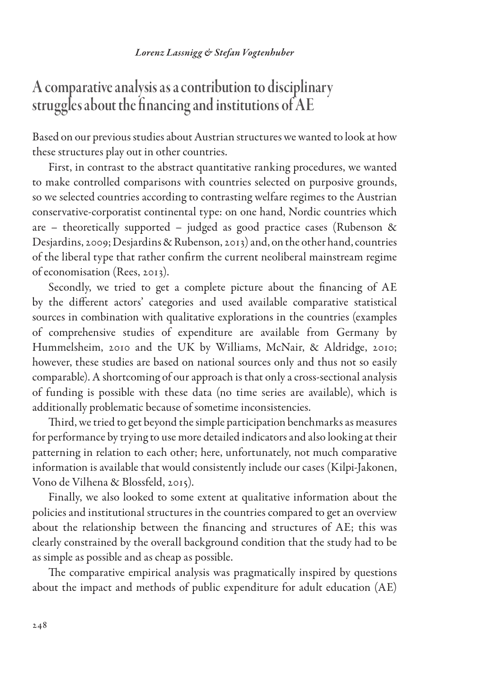A comparative analysis as a contribution to disciplinary struggles about the financing and institutions of AE

Based on our previous studies about Austrian structures we wanted to look at how these structures play out in other countries.

First, in contrast to the abstract quantitative ranking procedures, we wanted to make controlled comparisons with countries selected on purposive grounds, so we selected countries according to contrasting welfare regimes to the Austrian conservative-corporatist continental type: on one hand, Nordic countries which are – theoretically supported – judged as good practice cases (Rubenson & Desjardins, 2009; Desjardins & Rubenson, 2013) and, on the other hand, countries of the liberal type that rather confirm the current neoliberal mainstream regime of economisation (Rees, 2013).

Secondly, we tried to get a complete picture about the financing of AE by the different actors' categories and used available comparative statistical sources in combination with qualitative explorations in the countries (examples of comprehensive studies of expenditure are available from Germany by Hummelsheim, 2010 and the UK by Williams, McNair, & Aldridge, 2010; however, these studies are based on national sources only and thus not so easily comparable). A shortcoming of our approach is that only a cross-sectional analysis of funding is possible with these data (no time series are available), which is additionally problematic because of sometime inconsistencies.

Third, we tried to get beyond the simple participation benchmarks as measures for performance by trying to use more detailed indicators and also looking at their patterning in relation to each other; here, unfortunately, not much comparative information is available that would consistently include our cases (Kilpi-Jakonen, Vono de Vilhena & Blossfeld, 2015).

Finally, we also looked to some extent at qualitative information about the policies and institutional structures in the countries compared to get an overview about the relationship between the financing and structures of AE; this was clearly constrained by the overall background condition that the study had to be as simple as possible and as cheap as possible.

The comparative empirical analysis was pragmatically inspired by questions about the impact and methods of public expenditure for adult education (AE)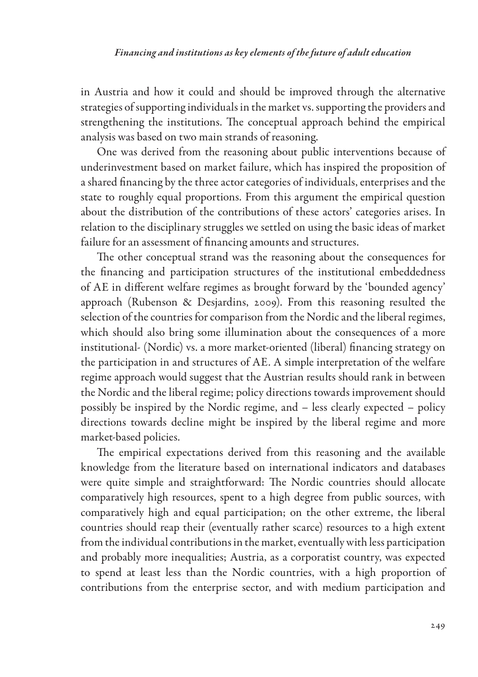in Austria and how it could and should be improved through the alternative strategies of supporting individuals in the market vs. supporting the providers and strengthening the institutions. The conceptual approach behind the empirical analysis was based on two main strands of reasoning.

One was derived from the reasoning about public interventions because of underinvestment based on market failure, which has inspired the proposition of a shared financing by the three actor categories of individuals, enterprises and the state to roughly equal proportions. From this argument the empirical question about the distribution of the contributions of these actors' categories arises. In relation to the disciplinary struggles we settled on using the basic ideas of market failure for an assessment of financing amounts and structures.

The other conceptual strand was the reasoning about the consequences for the financing and participation structures of the institutional embeddedness of AE in different welfare regimes as brought forward by the 'bounded agency' approach (Rubenson & Desjardins, 2009). From this reasoning resulted the selection of the countries for comparison from the Nordic and the liberal regimes, which should also bring some illumination about the consequences of a more institutional- (Nordic) vs. a more market-oriented (liberal) financing strategy on the participation in and structures of AE. A simple interpretation of the welfare regime approach would suggest that the Austrian results should rank in between the Nordic and the liberal regime; policy directions towards improvement should possibly be inspired by the Nordic regime, and – less clearly expected – policy directions towards decline might be inspired by the liberal regime and more market-based policies.

The empirical expectations derived from this reasoning and the available knowledge from the literature based on international indicators and databases were quite simple and straightforward: The Nordic countries should allocate comparatively high resources, spent to a high degree from public sources, with comparatively high and equal participation; on the other extreme, the liberal countries should reap their (eventually rather scarce) resources to a high extent from the individual contributions in the market, eventually with less participation and probably more inequalities; Austria, as a corporatist country, was expected to spend at least less than the Nordic countries, with a high proportion of contributions from the enterprise sector, and with medium participation and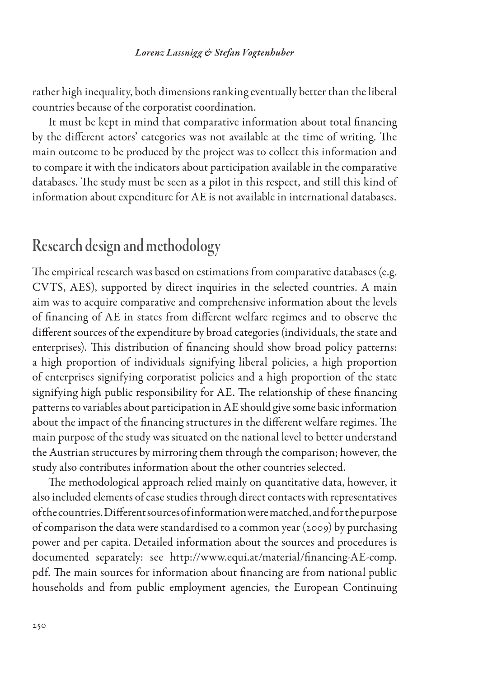rather high inequality, both dimensions ranking eventually better than the liberal countries because of the corporatist coordination.

It must be kept in mind that comparative information about total financing by the different actors' categories was not available at the time of writing. The main outcome to be produced by the project was to collect this information and to compare it with the indicators about participation available in the comparative databases. The study must be seen as a pilot in this respect, and still this kind of information about expenditure for AE is not available in international databases.

### Research design and methodology

The empirical research was based on estimations from comparative databases (e.g. CVTS, AES), supported by direct inquiries in the selected countries. A main aim was to acquire comparative and comprehensive information about the levels of financing of AE in states from different welfare regimes and to observe the different sources of the expenditure by broad categories (individuals, the state and enterprises). This distribution of financing should show broad policy patterns: a high proportion of individuals signifying liberal policies, a high proportion of enterprises signifying corporatist policies and a high proportion of the state signifying high public responsibility for AE. The relationship of these financing patterns to variables about participation in AE should give some basic information about the impact of the financing structures in the different welfare regimes. The main purpose of the study was situated on the national level to better understand the Austrian structures by mirroring them through the comparison; however, the study also contributes information about the other countries selected.

The methodological approach relied mainly on quantitative data, however, it also included elements of case studies through direct contacts with representatives of the countries. Different sources of information were matched, and for the purpose of comparison the data were standardised to a common year (2009) by purchasing power and per capita. Detailed information about the sources and procedures is documented separately: see http://www.equi.at/material/financing-AE-comp. pdf. The main sources for information about financing are from national public households and from public employment agencies, the European Continuing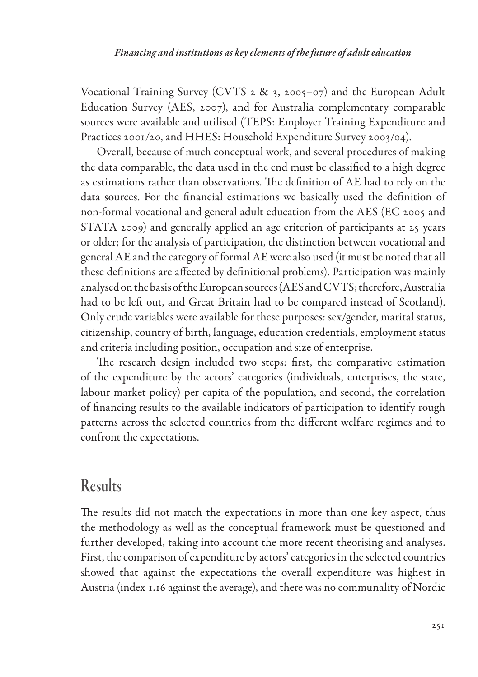Vocational Training Survey (CVTS 2 & 3, 2005–07) and the European Adult Education Survey (AES, 2007), and for Australia complementary comparable sources were available and utilised (TEPS: Employer Training Expenditure and Practices 2001/20, and HHES: Household Expenditure Survey 2003/04).

Overall, because of much conceptual work, and several procedures of making the data comparable, the data used in the end must be classified to a high degree as estimations rather than observations. The definition of AE had to rely on the data sources. For the financial estimations we basically used the definition of non-formal vocational and general adult education from the AES (EC 2005 and STATA 2009) and generally applied an age criterion of participants at 25 years or older; for the analysis of participation, the distinction between vocational and general AE and the category of formal AE were also used (it must be noted that all these definitions are affected by definitional problems). Participation was mainly analysed on the basis of the European sources (AES and CVTS; therefore, Australia had to be left out, and Great Britain had to be compared instead of Scotland). Only crude variables were available for these purposes: sex/gender, marital status, citizenship, country of birth, language, education credentials, employment status and criteria including position, occupation and size of enterprise.

The research design included two steps: first, the comparative estimation of the expenditure by the actors' categories (individuals, enterprises, the state, labour market policy) per capita of the population, and second, the correlation of financing results to the available indicators of participation to identify rough patterns across the selected countries from the different welfare regimes and to confront the expectations.

# Results

The results did not match the expectations in more than one key aspect, thus the methodology as well as the conceptual framework must be questioned and further developed, taking into account the more recent theorising and analyses. First, the comparison of expenditure by actors' categories in the selected countries showed that against the expectations the overall expenditure was highest in Austria (index 1.16 against the average), and there was no communality of Nordic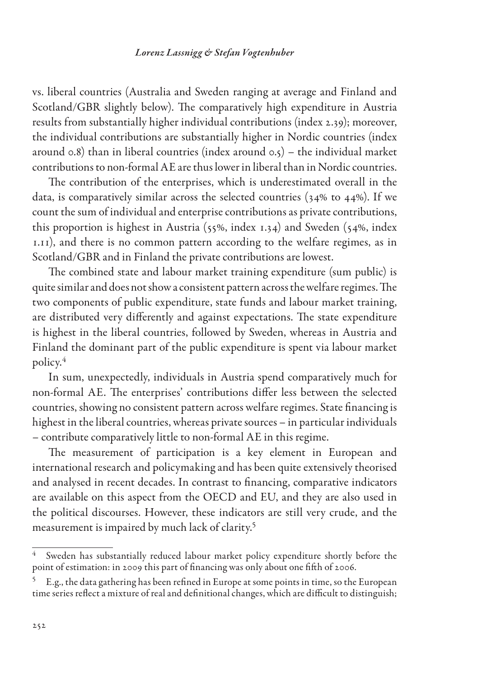vs. liberal countries (Australia and Sweden ranging at average and Finland and Scotland/GBR slightly below). The comparatively high expenditure in Austria results from substantially higher individual contributions (index 2.39); moreover, the individual contributions are substantially higher in Nordic countries (index around 0.8) than in liberal countries (index around 0.5) – the individual market contributions to non-formal AE are thus lower in liberal than in Nordic countries.

The contribution of the enterprises, which is underestimated overall in the data, is comparatively similar across the selected countries (34% to 44%). If we count the sum of individual and enterprise contributions as private contributions, this proportion is highest in Austria (55%, index 1.34) and Sweden (54%, index 1.11), and there is no common pattern according to the welfare regimes, as in Scotland/GBR and in Finland the private contributions are lowest.

The combined state and labour market training expenditure (sum public) is quite similar and does not show a consistent pattern across the welfare regimes. The two components of public expenditure, state funds and labour market training, are distributed very differently and against expectations. The state expenditure is highest in the liberal countries, followed by Sweden, whereas in Austria and Finland the dominant part of the public expenditure is spent via labour market policy.4

In sum, unexpectedly, individuals in Austria spend comparatively much for non-formal AE. The enterprises' contributions differ less between the selected countries, showing no consistent pattern across welfare regimes. State financing is highest in the liberal countries, whereas private sources – in particular individuals – contribute comparatively little to non-formal AE in this regime.

The measurement of participation is a key element in European and international research and policymaking and has been quite extensively theorised and analysed in recent decades. In contrast to financing, comparative indicators are available on this aspect from the OECD and EU, and they are also used in the political discourses. However, these indicators are still very crude, and the measurement is impaired by much lack of clarity.5

Sweden has substantially reduced labour market policy expenditure shortly before the point of estimation: in 2009 this part of financing was only about one fifth of 2006.

<sup>5</sup> E.g., the data gathering has been refined in Europe at some points in time, so the European time series reflect a mixture of real and definitional changes, which are difficult to distinguish;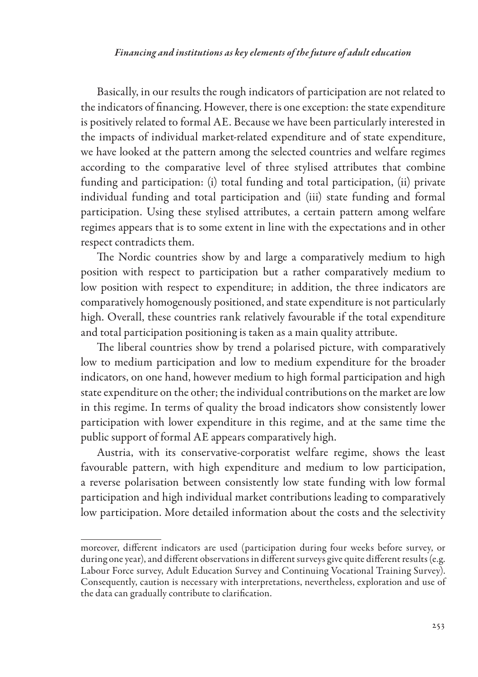Basically, in our results the rough indicators of participation are not related to the indicators of financing. However, there is one exception: the state expenditure is positively related to formal AE. Because we have been particularly interested in the impacts of individual market-related expenditure and of state expenditure, we have looked at the pattern among the selected countries and welfare regimes according to the comparative level of three stylised attributes that combine funding and participation: (i) total funding and total participation, (ii) private individual funding and total participation and (iii) state funding and formal participation. Using these stylised attributes, a certain pattern among welfare regimes appears that is to some extent in line with the expectations and in other respect contradicts them.

The Nordic countries show by and large a comparatively medium to high position with respect to participation but a rather comparatively medium to low position with respect to expenditure; in addition, the three indicators are comparatively homogenously positioned, and state expenditure is not particularly high. Overall, these countries rank relatively favourable if the total expenditure and total participation positioning is taken as a main quality attribute.

The liberal countries show by trend a polarised picture, with comparatively low to medium participation and low to medium expenditure for the broader indicators, on one hand, however medium to high formal participation and high state expenditure on the other; the individual contributions on the market are low in this regime. In terms of quality the broad indicators show consistently lower participation with lower expenditure in this regime, and at the same time the public support of formal AE appears comparatively high.

Austria, with its conservative-corporatist welfare regime, shows the least favourable pattern, with high expenditure and medium to low participation, a reverse polarisation between consistently low state funding with low formal participation and high individual market contributions leading to comparatively low participation. More detailed information about the costs and the selectivity

moreover, different indicators are used (participation during four weeks before survey, or during one year), and different observations in different surveys give quite different results (e.g. Labour Force survey, Adult Education Survey and Continuing Vocational Training Survey). Consequently, caution is necessary with interpretations, nevertheless, exploration and use of the data can gradually contribute to clarification.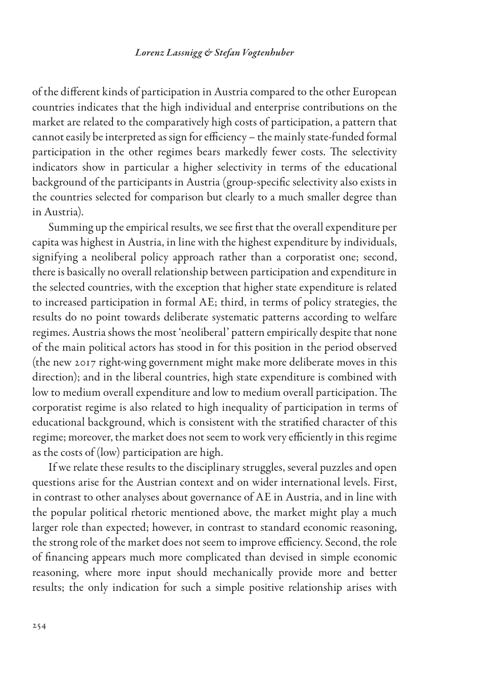of the different kinds of participation in Austria compared to the other European countries indicates that the high individual and enterprise contributions on the market are related to the comparatively high costs of participation, a pattern that cannot easily be interpreted as sign for efficiency – the mainly state-funded formal participation in the other regimes bears markedly fewer costs. The selectivity indicators show in particular a higher selectivity in terms of the educational background of the participants in Austria (group-specific selectivity also exists in the countries selected for comparison but clearly to a much smaller degree than in Austria).

Summing up the empirical results, we see first that the overall expenditure per capita was highest in Austria, in line with the highest expenditure by individuals, signifying a neoliberal policy approach rather than a corporatist one; second, there is basically no overall relationship between participation and expenditure in the selected countries, with the exception that higher state expenditure is related to increased participation in formal AE; third, in terms of policy strategies, the results do no point towards deliberate systematic patterns according to welfare regimes. Austria shows the most 'neoliberal' pattern empirically despite that none of the main political actors has stood in for this position in the period observed (the new 2017 right-wing government might make more deliberate moves in this direction); and in the liberal countries, high state expenditure is combined with low to medium overall expenditure and low to medium overall participation. The corporatist regime is also related to high inequality of participation in terms of educational background, which is consistent with the stratified character of this regime; moreover, the market does not seem to work very efficiently in this regime as the costs of (low) participation are high.

If we relate these results to the disciplinary struggles, several puzzles and open questions arise for the Austrian context and on wider international levels. First, in contrast to other analyses about governance of AE in Austria, and in line with the popular political rhetoric mentioned above, the market might play a much larger role than expected; however, in contrast to standard economic reasoning, the strong role of the market does not seem to improve efficiency. Second, the role of financing appears much more complicated than devised in simple economic reasoning, where more input should mechanically provide more and better results; the only indication for such a simple positive relationship arises with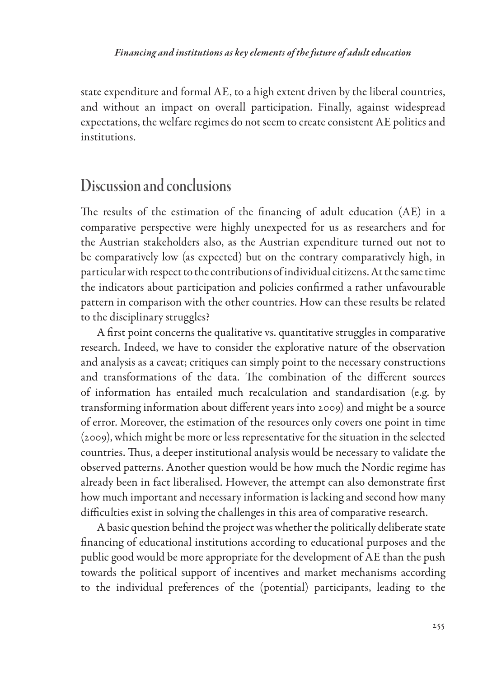state expenditure and formal AE, to a high extent driven by the liberal countries, and without an impact on overall participation. Finally, against widespread expectations, the welfare regimes do not seem to create consistent AE politics and institutions.

### Discussion and conclusions

The results of the estimation of the financing of adult education (AE) in a comparative perspective were highly unexpected for us as researchers and for the Austrian stakeholders also, as the Austrian expenditure turned out not to be comparatively low (as expected) but on the contrary comparatively high, in particular with respect to the contributions of individual citizens. At the same time the indicators about participation and policies confirmed a rather unfavourable pattern in comparison with the other countries. How can these results be related to the disciplinary struggles?

A first point concerns the qualitative vs. quantitative struggles in comparative research. Indeed, we have to consider the explorative nature of the observation and analysis as a caveat; critiques can simply point to the necessary constructions and transformations of the data. The combination of the different sources of information has entailed much recalculation and standardisation (e.g. by transforming information about different years into 2009) and might be a source of error. Moreover, the estimation of the resources only covers one point in time (2009), which might be more or less representative for the situation in the selected countries. Thus, a deeper institutional analysis would be necessary to validate the observed patterns. Another question would be how much the Nordic regime has already been in fact liberalised. However, the attempt can also demonstrate first how much important and necessary information is lacking and second how many difficulties exist in solving the challenges in this area of comparative research.

A basic question behind the project was whether the politically deliberate state financing of educational institutions according to educational purposes and the public good would be more appropriate for the development of AE than the push towards the political support of incentives and market mechanisms according to the individual preferences of the (potential) participants, leading to the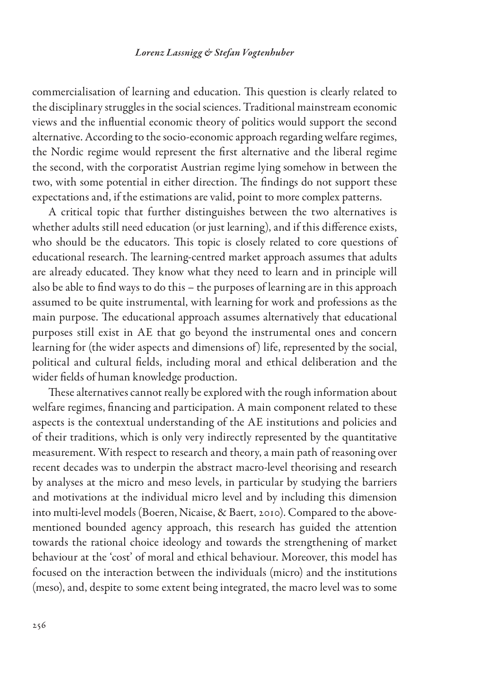commercialisation of learning and education. This question is clearly related to the disciplinary struggles in the social sciences. Traditional mainstream economic views and the influential economic theory of politics would support the second alternative. According to the socio-economic approach regarding welfare regimes, the Nordic regime would represent the first alternative and the liberal regime the second, with the corporatist Austrian regime lying somehow in between the two, with some potential in either direction. The findings do not support these expectations and, if the estimations are valid, point to more complex patterns.

A critical topic that further distinguishes between the two alternatives is whether adults still need education (or just learning), and if this difference exists, who should be the educators. This topic is closely related to core questions of educational research. The learning-centred market approach assumes that adults are already educated. They know what they need to learn and in principle will also be able to find ways to do this – the purposes of learning are in this approach assumed to be quite instrumental, with learning for work and professions as the main purpose. The educational approach assumes alternatively that educational purposes still exist in AE that go beyond the instrumental ones and concern learning for (the wider aspects and dimensions of) life, represented by the social, political and cultural fields, including moral and ethical deliberation and the wider fields of human knowledge production.

These alternatives cannot really be explored with the rough information about welfare regimes, financing and participation. A main component related to these aspects is the contextual understanding of the AE institutions and policies and of their traditions, which is only very indirectly represented by the quantitative measurement. With respect to research and theory, a main path of reasoning over recent decades was to underpin the abstract macro-level theorising and research by analyses at the micro and meso levels, in particular by studying the barriers and motivations at the individual micro level and by including this dimension into multi-level models (Boeren, Nicaise, & Baert, 2010). Compared to the abovementioned bounded agency approach, this research has guided the attention towards the rational choice ideology and towards the strengthening of market behaviour at the 'cost' of moral and ethical behaviour. Moreover, this model has focused on the interaction between the individuals (micro) and the institutions (meso), and, despite to some extent being integrated, the macro level was to some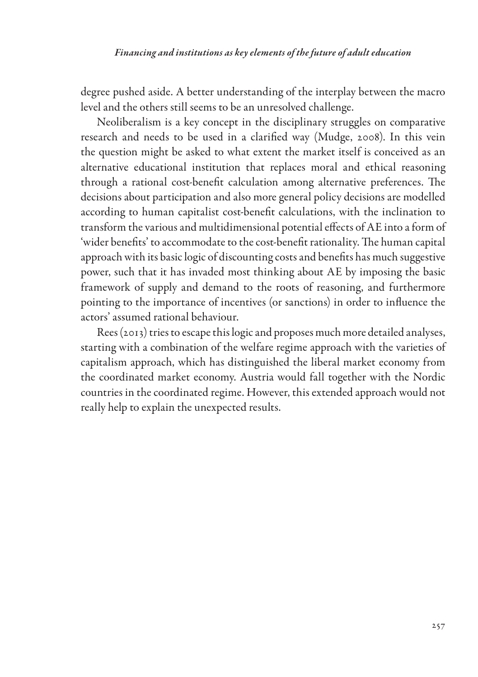degree pushed aside. A better understanding of the interplay between the macro level and the others still seems to be an unresolved challenge.

Neoliberalism is a key concept in the disciplinary struggles on comparative research and needs to be used in a clarified way (Mudge, 2008). In this vein the question might be asked to what extent the market itself is conceived as an alternative educational institution that replaces moral and ethical reasoning through a rational cost-benefit calculation among alternative preferences. The decisions about participation and also more general policy decisions are modelled according to human capitalist cost-benefit calculations, with the inclination to transform the various and multidimensional potential effects of AE into a form of 'wider benefits' to accommodate to the cost-benefit rationality. The human capital approach with its basic logic of discounting costs and benefits has much suggestive power, such that it has invaded most thinking about AE by imposing the basic framework of supply and demand to the roots of reasoning, and furthermore pointing to the importance of incentives (or sanctions) in order to influence the actors' assumed rational behaviour.

Rees (2013) tries to escape this logic and proposes much more detailed analyses, starting with a combination of the welfare regime approach with the varieties of capitalism approach, which has distinguished the liberal market economy from the coordinated market economy. Austria would fall together with the Nordic countries in the coordinated regime. However, this extended approach would not really help to explain the unexpected results.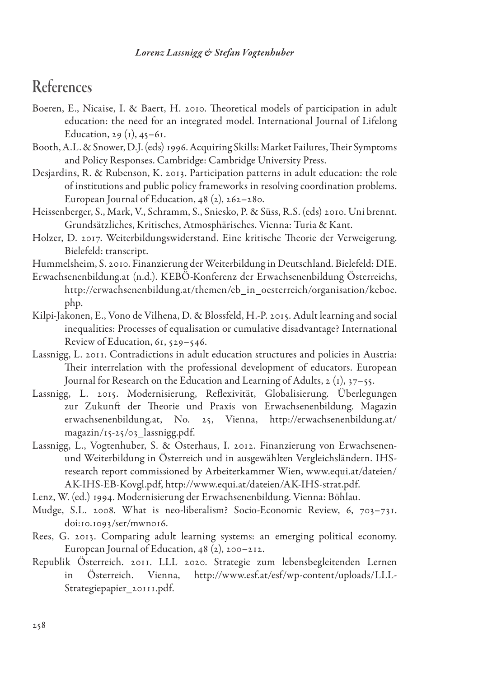## References

- Boeren, E., Nicaise, I. & Baert, H. 2010. Theoretical models of participation in adult education: the need for an integrated model. International Journal of Lifelong Education, 29 $(i)$ , 45–61.
- Booth, A.L. & Snower, D.J. (eds) 1996. Acquiring Skills: Market Failures, Their Symptoms and Policy Responses. Cambridge: Cambridge University Press.
- Desjardins, R. & Rubenson, K. 2013. Participation patterns in adult education: the role of institutions and public policy frameworks in resolving coordination problems. European Journal of Education, 48 (2), 262–280.
- Heissenberger, S., Mark, V., Schramm, S., Sniesko, P. & Süss, R.S. (eds) 2010. Uni brennt. Grundsätzliches, Kritisches, Atmosphärisches. Vienna: Turia & Kant.
- Holzer, D. 2017. Weiterbildungswiderstand. Eine kritische Theorie der Verweigerung. Bielefeld: transcript.
- Hummelsheim, S. 2010. Finanzierung der Weiterbildung in Deutschland. Bielefeld: DIE.
- Erwachsenenbildung.at (n.d.). KEBÖ-Konferenz der Erwachsenenbildung Österreichs, http://erwachsenenbildung.at/themen/eb\_in\_oesterreich/organisation/keboe. php.
- Kilpi-Jakonen, E., Vono de Vilhena, D. & Blossfeld, H.-P. 2015. Adult learning and social inequalities: Processes of equalisation or cumulative disadvantage? International Review of Education, 61, 529–546.
- Lassnigg, L. 2011. Contradictions in adult education structures and policies in Austria: Their interrelation with the professional development of educators. European Journal for Research on the Education and Learning of Adults, 2 (1), 37–55.
- Lassnigg, L. 2015. Modernisierung, Reflexivität, Globalisierung. Überlegungen zur Zukunft der Theorie und Praxis von Erwachsenenbildung. Magazin erwachsenenbildung.at, No. 25, Vienna, http://erwachsenenbildung.at/ magazin/15-25/03\_lassnigg.pdf.
- Lassnigg, L., Vogtenhuber, S. & Osterhaus, I. 2012. Finanzierung von Erwachsenenund Weiterbildung in Österreich und in ausgewählten Vergleichsländern. IHSresearch report commissioned by Arbeiterkammer Wien, www.equi.at/dateien/ AK-IHS-EB-Kovgl.pdf, http://www.equi.at/dateien/AK-IHS-strat.pdf.
- Lenz, W. (ed.) 1994. Modernisierung der Erwachsenenbildung. Vienna: Böhlau.
- Mudge, S.L. 2008. What is neo-liberalism? Socio-Economic Review, 6, 703–731. doi:10.1093/ser/mwn016.
- Rees, G. 2013. Comparing adult learning systems: an emerging political economy. European Journal of Education, 48 (2), 200–212.
- Republik Österreich. 2011. LLL 2020. Strategie zum lebensbegleitenden Lernen in Österreich. Vienna, http://www.esf.at/esf/wp-content/uploads/LLL-Strategiepapier\_20111.pdf.